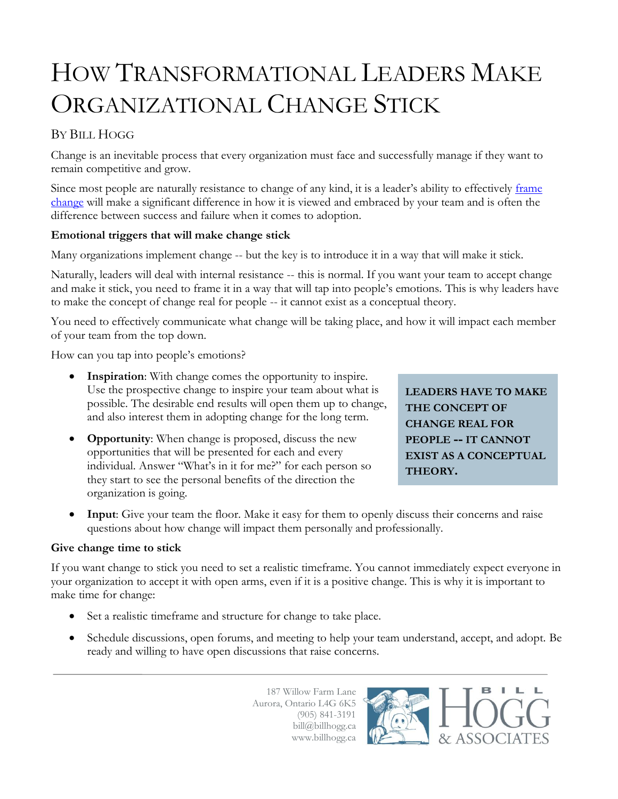# HOW TRANSFORMATIONAL LEADERS MAKE ORGANIZATIONAL CHANGE STICK

## BY BILL HOGG

Change is an inevitable process that every organization must face and successfully manage if they want to remain competitive and grow.

Since most people are naturally resistance to change of any kind, it is a leader's ability to effectively frame [change](http://www.billhogg.ca/2013/02/essential-elements-when-framing-organizational-change/) will make a significant difference in how it is viewed and embraced by your team and is often the difference between success and failure when it comes to adoption.

#### **Emotional triggers that will make change stick**

Many organizations implement change -- but the key is to introduce it in a way that will make it stick.

Naturally, leaders will deal with internal resistance -- this is normal. If you want your team to accept change and make it stick, you need to frame it in a way that will tap into people's emotions. This is why leaders have to make the concept of change real for people -- it cannot exist as a conceptual theory.

You need to effectively communicate what change will be taking place, and how it will impact each member of your team from the top down.

How can you tap into people's emotions?

- **Inspiration**: With change comes the opportunity to inspire. Use the prospective change to inspire your team about what is possible. The desirable end results will open them up to change, and also interest them in adopting change for the long term.
- **Opportunity**: When change is proposed, discuss the new opportunities that will be presented for each and every individual. Answer "What's in it for me?" for each person so they start to see the personal benefits of the direction the organization is going.

**LEADERS HAVE TO MAKE THE CONCEPT OF CHANGE REAL FOR PEOPLE -- IT CANNOT EXIST AS A CONCEPTUAL THEORY.**

L

 **Input**: Give your team the floor. Make it easy for them to openly discuss their concerns and raise questions about how change will impact them personally and professionally.

#### **Give change time to stick**

If you want change to stick you need to set a realistic timeframe. You cannot immediately expect everyone in your organization to accept it with open arms, even if it is a positive change. This is why it is important to make time for change:

- Set a realistic timeframe and structure for change to take place.
- Schedule discussions, open forums, and meeting to help your team understand, accept, and adopt. Be ready and willing to have open discussions that raise concerns.

187 Willow Farm Lane Aurora, Ontario L4G 6K5 (905) 841-3191 bill@billhogg.ca www.billhogg.ca